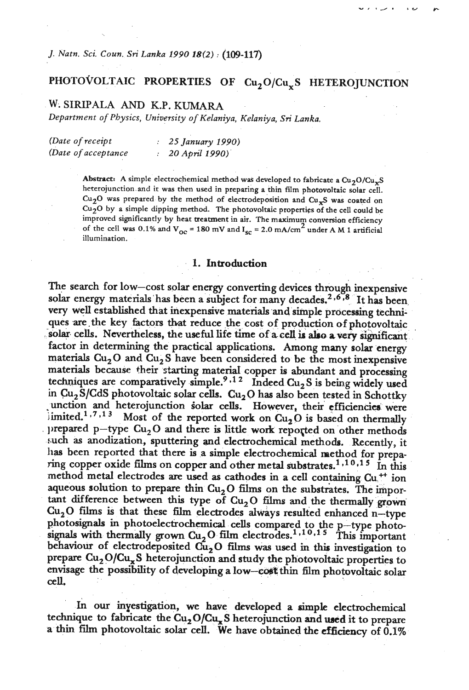*J. Natn. Sci. Coun. Sri Lanka 1990* **18i2)** : **(109-117)** 

# PHOTOVOLTAIC PROPERTIES OF Cu, O/Cu, **S** HETEROJUNCTION

## **W. SIRIPALA** *AND* **K.P. KUMARA**

*Department* **of** *Physics, University* **of** *Kelaniya, Kelaniya, Sri Lanka.* 

| (Date of receipt)   | 25 January 1990)   |
|---------------------|--------------------|
| (Date of acceptance | : $20$ April 1990) |

Abstract: A simple electrochemical method was developed to fabricate a  $Cu_2O/Cu_xS$ **heterojunction and it was then used in preparing a thin film photovoltaic solar cell.**   $Cu<sub>2</sub>O$  was prepared by the method of electrodeposition and  $Cu<sub>x</sub>S$  was coated on **Cu20 by a simple dipping method. The photovoltaic properties of the cell could be**  improved significantly by heat treatment in air. The maximum conversion efficiency of the cell was 0.1% and  $V_{\text{oc}} = 180 \text{ mV}$  and  $I_{\text{sc}} = 2.0 \text{ mA/cm}^2$  under A M 1 artificial **illumination.** 

#### **1.** Introduction

The search for low-cost solar energy converting devices through inexpensive solar energy materials has been a subject for many decades,<sup>2,6,8</sup> It has been very we11 established that inexpensive materials and simple processing techniques are the key factors that reduce the cost of production of photovoltaic solar cells. Nevertheless, the useful life time of a cell is also a very significant factor in determining the practical applications. Among many solar energy materials  $Cu<sub>2</sub>O$  and  $Cu<sub>2</sub>S$  have been considered to be the most inexpensive materials because **their starting** materia1 copper is abundant and processing techniques are comparatively simple.<sup>9,12</sup> Indeed Cu<sub>2</sub> S is being widely used in Cu<sub>2</sub>S/CdS photovoltaic solar cells. Cu<sub>2</sub>O has also been tested in Schottky unction and heterojunction solar cells. However, their efficiencies were limited.<sup>1.7.13</sup> Most of the reported work on  $Cu<sub>2</sub>O$  is based on thermally prepared p-type  $Cu<sub>2</sub>O$  and there is little work reported on other methods such as anodization, sputtering and electrochemical methods. Recently, it has been reported that there is a simple electrochemical method for preparing copper oxide films on copper and other metal substrates.<sup>1,10,15</sup> In this method metal electrodes are used as cathodes in a cell containing Cu<sup>++</sup> ion aqueous solution to prepare thin  $Cu<sub>2</sub>O$  films on the substrates. The important difference between this type of Cu<sub>2</sub>O films and the thermally grown Cu<sub>2</sub>O films is that these film electrodes always resulted enhanced n-type bhotosignals in photoelectrochemical cells compared to the p-type photo-<br>ignals with thermally grown  $Cu<sub>2</sub>O$  film electrodes.<sup>1,10,15</sup> This important behaviour of electrodeposited  $\tilde{cu}_2O$  films was used in this investigation to prepare  $Cu<sub>2</sub>O/Cu<sub>x</sub>S$  heterojunction and study the photovoltaic properties to envisage the possibility of developing a **low-cmt** thin film photovoltaic solar **cell,** 

In our investigation, we have developed a simple electrochemical technique to fabricate the Cu<sub>2</sub>O/Cu<sub>x</sub>S heterojunction and used it to prepare a thin film photovoltaic solar cell. We have obtained the **efficiency** of 0.1%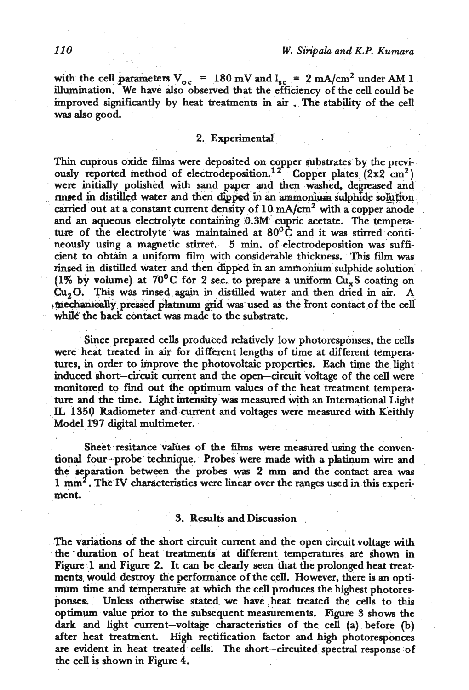with the cell parameters  $V_{oc}$  = 180 mV and  $I_{sc}$  = 2 mA/cm<sup>2</sup> under AM 1 illumination. We have also observed that the efficiency of the cell could be improved significantly by heat treatments in air . The stability of the cell **was** also good.

#### 2. Experimental

**Thin** cuprous oxide films were deposited on copper substrates by the previously reported method of electrodeposition.<sup>12</sup> Copper plates (2x2 cm<sup>2</sup>) were initially polished with sand paper and then washed, degreased and nn~ed in distilled water and **them dipped** in an ammonium **&hide solution**  carried out at a constant current density of 10 mA/cm<sup>2</sup> with a copper anode and an aqueous electrolyte containing 0.3M cupric acetate. The temperature of the electrolyte was maintained at **80°c** and it was stirred contineously using a magnetic stirrer. 5 **min.** of electrodeposition **was** sufficient to obtain a uniform film with considerable thickness. **This** fdm was rinsed in distilled water and then dipped in an ammonium sulphide solution (1% by volume) at  $70^{\circ}$ C for 2 sec. to prepare a uniform  $Cu_xS$  coating on Cu20. **This** was rinsed. again in distilled water and **then** dried in air. A : mechanically pressed platinum grid was used as the front contact of the cell while the back contact was made to the substrate.

Since prepared cells produced relatively low photoresponses, the cells were heat treated in **air** for different lengths of time at different temperatures, in order to improve the photovoltaic properties. Each time the light induced short-circuit current and the open-circuit voltage of the cell were monitored to find out the optimum values **of** the heat treatment temperature and the time. Light intensity was measured with an International Light . **IL** 1350 Radiometer and current and voltages were measured with Keithly Model 197 digital multimeter.

Sheet resitance values of the films were measured using the conventional four-probe technique. Probes were made with a platinum wire and the **separation** between the probes was 2 mm and the contact area was 1 mm<sup>2</sup>. The IV characteristics were linear over the ranges used in this experiment.

#### 3. **Results** and **Discussion** .

The **variations** of the short circuit current and the open circuit voltage with the 'duration of heat treatments at different temperatures **are** shown in Figure 1 and Figure 2. It **can** be clearly seen that the prolonged heat treatments, would destroy the performance of **tht** cell. However, there is **an** optimum time and temperature at which the cell produces the highest photoresponses. Unless otherwise stated. **we** have heat treated the cells to **this**  optimum value ptior to the subsequent measurements. Figure **3** shows the **dark** and light current-voltage characteristics of the cell (a) before (b) after heat treatment. High rectification factor and high photoresponces are evident in heat treated cells. The short-circuited spectral response of the **cell** is shown in Figure 4.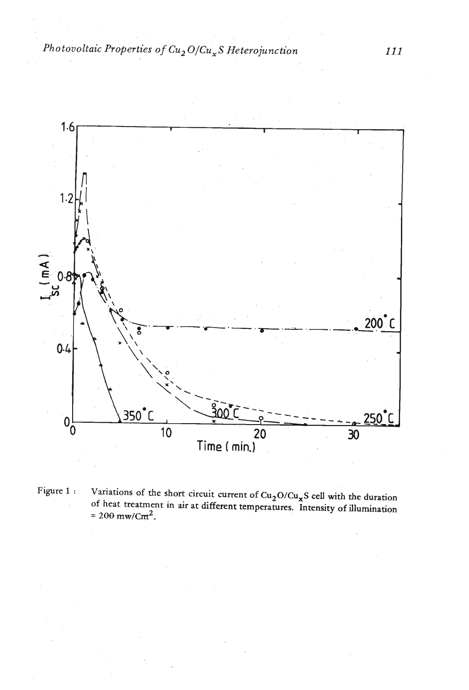*Photovoltaic Properties of* Cu2 **O/Cu,S** *Heterojunction* 



Figure 1 : **Variations of the short circuit current of Cu<sub>2</sub>O/Cu<sub>x</sub>S cell with the duration of heat treatment in air at different temperature? Intensity of illumination**   $= 200$  mw/Cm<sup>2</sup>.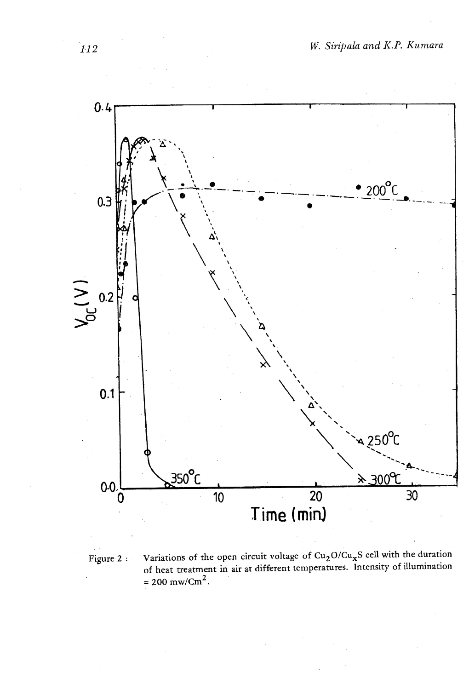

Variations of the open circuit voltage of  $Cu_2O/Cu_xS$  cell with the duration Figure 2: of heat treatment in air at different temperatures. Intensity of illumination<br>= 200 mw/Cm<sup>2</sup>.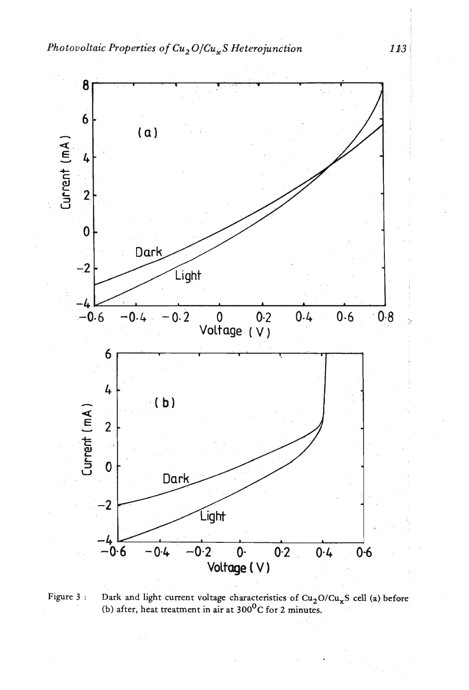

Figure 3 : Dark and light current voltage characteristics of Cu<sub>2</sub>O/Cu<sub>v</sub>S cell (a) before  $(b)$  after, heat treatment in air at  $300^0C$  for 2 minutes.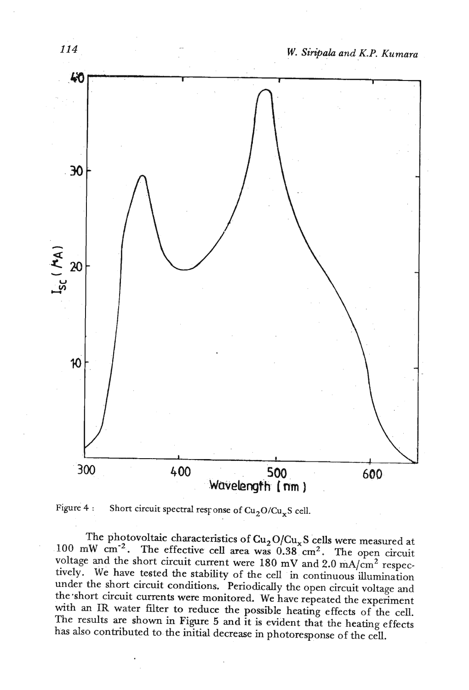



The photovoltaic characteristics of  $Cu<sub>2</sub>O/Cu<sub>x</sub>S$  cells were measured at 100 mW cm<sup>-2</sup>. The effective cell area was  $0.38$  cm<sup>2</sup>. The open circuit voltage and the short circuit current were 180 mV and 2.0 mA/cm<sup>2</sup> respectively. We have tested the stability of the cell in continuous illumination under the short circuit conditions. Periodically the open circuit voltage **and**  the-short circuit currents were monitored. We have repeated the experiment with **an IR** water filter to reduce the possible heating effects of the cell. The results are shown in Figure 5 and it is evident that the heating effects has also contributed to the initial decrease in photoresponse of the cell.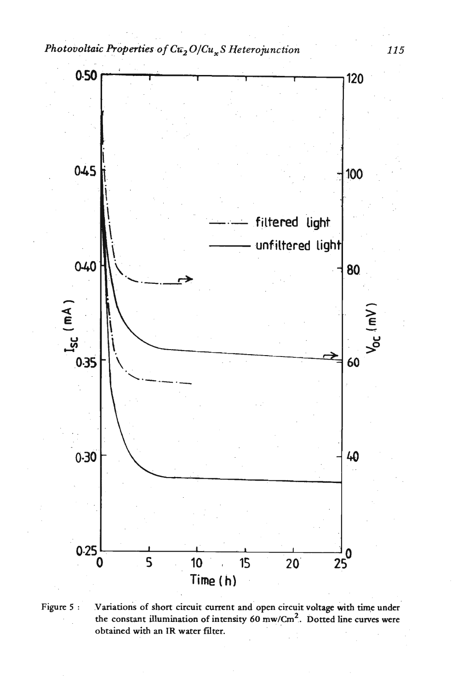

Figure 5: Variations of short circuit current and open circuit voltage with time under the constant illumination of intensity 60 mw/Cm<sup>2</sup>. Dotted line curves were obtained with an IR water filter.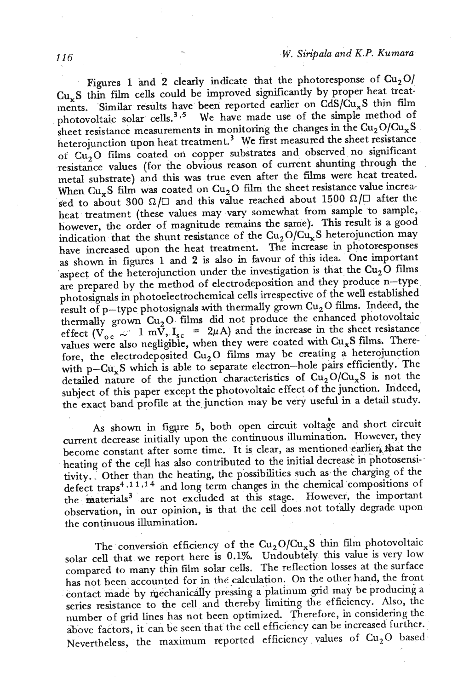Figures 1 and 2 clearly indicate that the photoresponse of  $Cu<sub>2</sub>O$ Cu,S thin film cells could be improved significantly by proper heat treatments. **Similar** results have been reported earlier on CdS/CuxS thin film photovoltaic solar cells.<sup>3,5</sup> We have made use of the simple method of sheet resistance measurements in monitoring the changes in the  $Cu_2O/Cu_xS$ heterojunction upon heat treatment.<sup>3</sup> We first measured the sheet resistance of Cu<sub>2</sub>O films coated on copper substrates and observed no significant resistance values (for the obvious reason of current shunting through the metal substrate) and **this** was true even after the films were heat treated. When  $Cu<sub>x</sub>S$  film was coated on  $Cu<sub>2</sub>O$  film the sheet resistance value increased to about 300  $\Omega/\square$  and this value reached about 1500  $\Omega/\square$  after the heat treatment (these values may vary somewhat from sample to sample, however, the order of magnitude remains the same). **This** result is a good indication that the shunt resistance of the  $Cu_2O/Cu_xS$  heterojunction may have increased upon the heat treatment. The increase in photoresponses as shown in figures 1 and 2 is also in favour of this idea. One important aspect of the heterojunction under the investigation is that the  $Cu<sub>2</sub>O$  films are prepared by the method of electrodeposition and they produce n-type photosignals in photoelectrochemical cells irrespective of the well established result of p-type photosignals with thermally grown Cu2 **0** films. Indeed, the thermally grown  $Cu<sub>2</sub>O$  films did not produce the enhanced photovoltaic effect  $(\dot{V}_{oc} \sim 1 \text{ m}\dot{\tilde{V}})$ ,  $I_{sc} = 2\mu A$ ) and the increase in the sheet resistance values were also negligible, when they were coated with Cu<sub>x</sub>S films. Therefore, the electrodeposited  $Cu<sub>2</sub>O$  films may be creating a heterojunction with p- $Cu<sub>x</sub>S$  which is able to separate electron-hole pairs efficiently. The detailed nature of the junction characteristics of  $Cu<sub>2</sub>O/Cu<sub>x</sub>S$  is not the subject of this paper except the photovoltaic effect of the junction. Indeed, the exact band profile at the junction may be very useful in a detail study.

As shown in figure 5, both open circuit voltage and short circuit current decrease initially upon the continuous illumination. However, they become constant after some time. It is clear, as mentioned earlier, that the heating of the cell has also contributed to the initial decrease in photosensi-. tivity.. Other than the heating, the possibilities such as the charging of the defect traps<sup>4,11,14</sup> and long term changes in the chemical compositions of the materials<sup>3</sup> are not excluded at this stage. However, the important observation, in our opinion, is that the cell does not totally degrade upon the continuous illumination.

The conversion efficiency of the  $Cu_2O/Cu_xS$  thin film photovoltaic solar cell that we report here is **0.1%.** Undoubtely this value is very low compared to many thin film solar cells. The reflection losses at the surface has not been accounted for in the calculation. On the other hand, the front contact made by mechanically pressing a platinum grid may be producing a series resistance to the cell and thereby limiting the efficiency. Also, the number of grid lines has not been optimized. Therefore, in considering the above factors, it can be seen that the cell efficiency can be increased further. Nevertheless, the maximum reported efficiency values of  $Cu_2O$  based